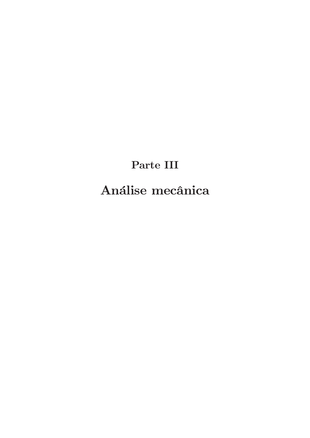Parte III

Análise mecânica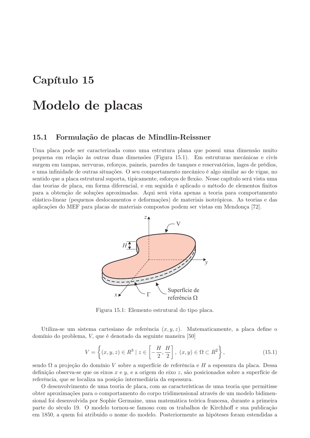# Capítulo 15

# Modelo de placas

### 15.1 Formulação de placas de Mindlin-Reissner

Uma placa pode ser caracterizada como uma estrutura plana que possui uma dimensão muito pequena em relação às outras duas dimensões (Figura 15.1). Em estruturas mecânicas e civís surgem em tampas, nervuras, reforços, paineis, paredes de tanques e reservatórios, lages de prédios, e uma infinidade de outras situações. O seu comportamento mecânico é algo similar ao de vigas, no sentido que a placa estrutural suporta, tipicamente, esforços de flexão. Nesse capítulo será vista uma das teorias de placa, em forma diferencial, e em seguida é aplicado o método de elementos finitos para a obtenção de soluções aproximadas. Aqui será vista apenas a teoria para comportamento elástico-linear (pequenos deslocamentos e deformações) de materiais isotrópicos. As teorias e das aplicações do MEF para placas de materiais compostos podem ser vistas em Mendonça [72].



Figura 15.1: Elemento estrutural do tipo placa.

Utiliza-se um sistema cartesiano de referência  $(x, y, z)$ . Matematicamente, a placa define o domínio do problema, V, que é denotado da seguinte maneira [50]

$$
V = \left\{ (x, y, z) \in R^3 \mid z \in \left[ -\frac{H}{2}, \frac{H}{2} \right], (x, y) \in \Omega \subset R^2 \right\},\tag{15.1}
$$

sendo  $\Omega$  a projeção do domínio V sobre a superfície de referência e H a espessura da placa. Dessa definição observa-se que os eixos  $x \in y$ , e a origem do eixo z, são posicionados sobre a superfície de referência, que se localiza na posição intermediária da espessura.

O desenvolvimento de uma teoria de placa, com as características de uma teoria que permitisse obter aproximações para o comportamento do corpo tridimensional através de um modelo bidimensional foi desenvolvida por Sophie Germaine, uma matemática teórica francesa, durante a primeira parte do século 19. O modelo tornou-se famoso com os trabalhos de Kirchhoff e sua publicação em 1850, a quem foi atribuido o nome do modelo. Posteriormente as hipóteses foram estendidas a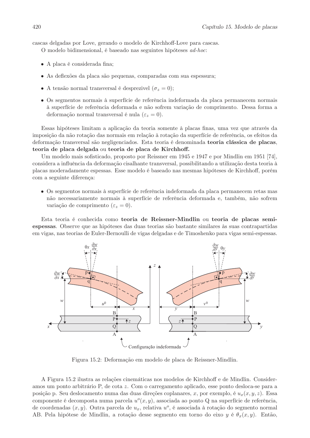cascas delgadas por Love, gerando o modelo de Kirchhoff-Love para cascas.

O modelo bidimensional, é baseado nas seguintes hipóteses *ad-hoc*:

- A placa é considerada fina;
- · As deflexões da placa são pequenas, comparadas com sua espessura;
- A tensão normal transversal é desprezivel  $(\sigma_z = 0)$ ;
- Os segmentos normais à superfície de referência indeformada da placa permanecem normais à superfície de referência deformada e não sofrem variação de comprimento. Dessa forma a deformação normal transversal é nula ( $\varepsilon_z = 0$ ).

Essas hipóteses limitam a aplicação da teoria somente à placas finas, uma vez que através da imposição da não rotação das normais em relação à rotação da superfície de referência, os efeitos da deformação transversal são negligenciados. Esta teoria é denominada teoria clássica de placas, teoria de placa delgada ou teoria de placa de Kirchhoff.

Um modelo mais sofisticado, proposto por Reissner em 1945 e 1947 e por Mindlin em 1951 [74]. considera a influência da deformação cisalhante transversal, possibilitando a utilização desta teoria à placas moderadamente espessas. Esse modelo é baseado nas mesmas hipóteses de Kirchhoff, porém com a seguinte diferença:

• Os segmentos normais à superfície de referência indeformada da placa permanecem retas mas não necessariamente normais à superfície de referência deformada e, também, não sofrem variação de comprimento ( $\varepsilon_z = 0$ ).

Esta teoria é conhecida como teoria de Reissner-Mindlin ou teoria de placas semiespessas. Observe que as hipóteses das duas teorias são bastante similares às suas contrapartidas em vigas, nas teorias de Euler-Bernoulli de vigas delgadas e de Timoshenko para vigas semi-espessas.



Figura 15.2: Deformação em modelo de placa de Reissner-Mindlin.

A Figura 15.2 ilustra as relações cinemáticas nos modelos de Kirchhoff e de Mindlin. Consideramos um ponto arbitrário P, de cota z. Com o carregamento aplicado, esse ponto desloca-se para a posição p. Seu deslocamento numa das duas direções coplanares, x, por exemplo, é  $u_x(x, y, z)$ . Essa componente é decomposta numa parcela  $u^o(x, y)$ , associada ao ponto Q na superfície de referência, de coordenadas  $(x, y)$ . Outra parcela de  $u_x$ , relativa  $u^o$ , é associada à rotação do segmento normal AB. Pela hipótese de Mindlin, a rotação desse segmento em torno do eixo  $y \in \theta_x(x, y)$ . Então,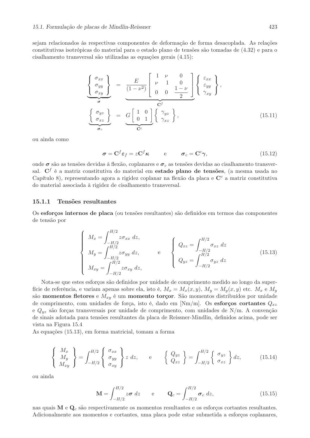sejam relacionados às respectivas componentes de deformação de forma desacoplada. As relações constitutivas isotrópicas do material para o estado plano de tensões são tomadas de  $(4.32)$  e para o cisalhamento transversal são utilizadas as equações gerais (4.15):

$$
\begin{Bmatrix}\n\sigma_{xx} \\
\sigma_{yy} \\
\sigma_{xy}\n\end{Bmatrix} = \underbrace{\frac{E}{(1-\nu^2)} \begin{bmatrix}\n1 & \nu & 0 \\
\nu & 1 & 0 \\
0 & 0 & \frac{1-\nu}{2}\n\end{bmatrix}}_{\mathbf{C}^f} \begin{Bmatrix}\n\varepsilon_{xx} \\
\varepsilon_{yy} \\
\gamma_{xy}\n\end{Bmatrix}}_{\mathbf{\sigma}_c},
$$
\n
$$
\begin{Bmatrix}\n\sigma_{yz} \\
\sigma_{xz}\n\end{Bmatrix} = \underbrace{G \begin{bmatrix}\n1 & 0 \\
0 & 1\n\end{bmatrix} \begin{Bmatrix}\n\gamma_{yz} \\
\gamma_{xz}\n\end{Bmatrix}}_{\mathbf{C}^c},
$$
\n(15.11)

ou ainda como

$$
\boldsymbol{\sigma} = \mathbf{C}^f \boldsymbol{\varepsilon}_f = z \mathbf{C}^f \boldsymbol{\kappa} \qquad \mathbf{e} \qquad \boldsymbol{\sigma}_c = \mathbf{C}^c \boldsymbol{\gamma}, \tag{15.12}
$$

onde  $\sigma$  são as tensões devidas à flexão, coplanares e  $\sigma_c$  as tensões devidas ao cisalhamento transversal. C<sup>f</sup> é a matriz constitutiva do material em estado plano de tensões, (a mesma usada no Capítulo 8), representando agora a rigidez coplanar na flexão da placa e C<sup>c</sup> a matriz constitutiva do material associada à rigidez de cisalhamento transversal.

#### 15.1.1 Tensões resultantes

Os esforços internos de placa (ou tensões resultantes) são definidos em termos das componentes de tensão por

$$
\begin{cases}\nM_x = \int_{-H/2}^{H/2} z \sigma_{xx} \, dz, \\
M_y = \int_{-H/2}^{H/2} z \sigma_{yy} \, dz, \\
M_{xy} = \int_{-H/2}^{H/2} z \sigma_{xy} \, dz,\n\end{cases}\n\qquad e\n\begin{cases}\nQ_{xz} = \int_{-H/2}^{H/2} \sigma_{xz} \, dz \\
Q_{yz} = \int_{-H/2}^{H/2} \sigma_{yz} \, dz\n\end{cases}
$$
\n(15.13)

Nota-se que estes esforços são definidos por unidade de comprimento medido ao longo da superfície de referência, e variam apenas sobre ela, isto é,  $M_x = M_x(x, y)$ ,  $M_y = M_y(x, y)$  etc.  $M_x$  e  $M_y$ são momentos fletores e  $M_{xy}$  é um momento torçor. São momentos distribuídos por unidade de comprimento, com unidades de força, isto é, dado em [Nm/m]. Os esforços cortantes  $Q_{xz}$ e  $Q_{uz}$  são forças transversais por unidade de comprimento, com unidades de N/m. A convenção de sinais adotada para tensões resultantes da placa de Reissner-Mindlin, definidos acima, pode ser vista na Figura 15.4

As equações (15.13), em forma matricial, tomam a forma

$$
\begin{Bmatrix}\nM_x \\
M_y \\
M_{xy}\n\end{Bmatrix} = \int_{-H/2}^{H/2} \begin{Bmatrix}\n\sigma_{xx} \\
\sigma_{yy} \\
\sigma_{xy}\n\end{Bmatrix} z \, dz, \qquad e \qquad \begin{Bmatrix}\nQ_{yz} \\
Q_{xz}\n\end{Bmatrix} = \int_{-H/2}^{H/2} \begin{Bmatrix}\n\sigma_{yz} \\
\sigma_{xz}\n\end{Bmatrix} dz, \qquad (15.14)
$$

ou ainda

$$
\mathbf{M} = \int_{-H/2}^{H/2} z \boldsymbol{\sigma} \ dz \qquad \text{e} \qquad \mathbf{Q}_c = \int_{-H/2}^{H/2} \boldsymbol{\sigma}_c \ dz, \tag{15.15}
$$

nas quais  $M e Q_c$  são respectivamente os momentos resultantes e os esforços cortantes resultantes. Adicionalmente aos momentos e cortantes, uma placa pode estar submetida a esforços coplanares,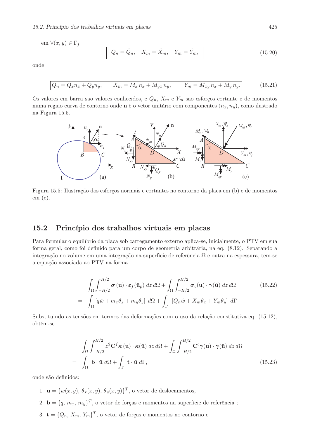em  $\forall (x, y) \in \Gamma_f$ 

$$
Q_n = \check{Q}_n, \quad X_m = \check{X}_m, \quad Y_m = \check{Y}_m,
$$
\n(15.20)

onde

$$
Q_n = Q_x n_x + Q_y n_y, \qquad X_m = M_x n_x + M_{yx} n_y, \qquad Y_m = M_{xy} n_x + M_y n_y.
$$
 (15.21)

Os valores em barra são valores conhecidos, e $\mathcal{Q}_n,$ <br/> $X_m$ e  $Y_m$ são esforços cortante e de momentos numa região curva de contorno onde n é o vetor unitário com componentes  $(n_x, n_y)$ , como ilustrado na Figura 15.5.



Figura 15.5: Ilustração dos esforços normais e cortantes no contorno da placa em (b) e de momentos  $em(c).$ 

## Princípio dos trabalhos virtuais em placas 15.2

Para formular o equilíbrio da placa sob carregamento externo aplica-se, inicialmente, o PTV em sua forma geral, como foi definido para um corpo de geometria arbitrária, na eq. (8.12). Separando a integração no volume em uma integração na superfície de referência  $\Omega$  e outra na espessura, tem-se a equação associada ao PTV na forma

$$
\int_{\Omega} \int_{-H/2}^{H/2} \boldsymbol{\sigma}(\mathbf{u}) \cdot \boldsymbol{\varepsilon}_{f}(\hat{\mathbf{u}}_{p}) dz d\Omega + \int_{\Omega} \int_{-H/2}^{H/2} \boldsymbol{\sigma}_{c}(\mathbf{u}) \cdot \boldsymbol{\gamma}(\hat{\mathbf{u}}) dz d\Omega \qquad (15.22)
$$

$$
= \int_{\Omega} \left[ q\hat{w} + m_{x}\theta_{x} + m_{y}\theta_{y} \right] d\Omega + \int_{\Gamma} \left[ Q_{n}\hat{w} + X_{m}\theta_{x} + Y_{m}\theta_{y} \right] d\Gamma
$$

Substituindo as tensões em termos das deformações com o uso da relação constitutiva eq. (15.12). obtém-se

$$
\int_{\Omega} \int_{-H/2}^{H/2} z^2 \mathbf{C}^f \kappa(\mathbf{u}) \cdot \kappa(\hat{\mathbf{u}}) dz d\Omega + \int_{\Omega} \int_{-H/2}^{H/2} \mathbf{C}^c \gamma(\mathbf{u}) \cdot \gamma(\hat{\mathbf{u}}) dz d\Omega
$$
\n
$$
= \int_{\Omega} \mathbf{b} \cdot \hat{\mathbf{u}} d\Omega + \int_{\Gamma} \mathbf{t} \cdot \hat{\mathbf{u}} d\Gamma, \qquad (15.23)
$$

onde são definidos:

- 1.  $\mathbf{u} = \{w(x, y), \theta_x(x, y), \theta_y(x, y)\}^T$ , o vetor de deslocamentos,
- 2.  $\mathbf{b} = \{q, m_x, m_y\}^T$ , o vetor de forças e momentos na superfície de referência;
- 3.  $\mathbf{t} = \{Q_n, X_m, Y_m\}^T$ , o vetor de forças e momentos no contorno e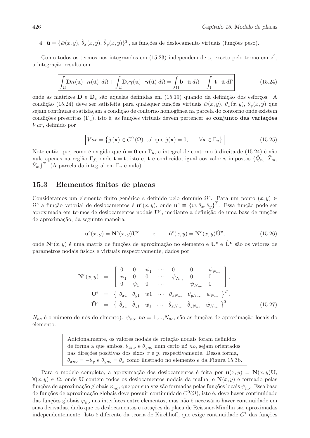4.  $\hat{\mathbf{u}} = {\hat{w}(x, y), \hat{\theta}_x(x, y), \hat{\theta}_y(x, y)}^T$ , as funções de deslocamento virtuais (funções peso).

Como todos os termos nos integrandos em (15.23) independem de z, exceto pelo termo em  $z^2$ , a integração resulta em

$$
\int_{\Omega} \mathbf{D}\kappa(\mathbf{u}) \cdot \kappa(\hat{\mathbf{u}}) \, d\Omega + \int_{\Omega} \mathbf{D}_c \gamma(\mathbf{u}) \cdot \gamma(\hat{\mathbf{u}}) \, d\Omega = \int_{\Omega} \mathbf{b} \cdot \hat{\mathbf{u}} \, d\Omega + \int_{\Gamma} \mathbf{t} \cdot \hat{\mathbf{u}} \, d\Gamma \tag{15.24}
$$

onde as matrizes  $D e D_c$  são aquelas definidas em (15.19) quando da definição dos esforços. A condição (15.24) deve ser satisfeita para quaisquer funções virtuais  $\hat{w}(x, y)$ ,  $\theta_x(x, y)$ ,  $\theta_y(x, y)$  que sejam contínuas e satisfaçam a condição de contorno homogênea na parcela do contorno onde existem condições prescritas  $(\Gamma_u)$ , isto é, as funções virtuais devem pertencer ao conjunto das variações  $Var$ , definido por

$$
Var = \left\{ \hat{g}(\mathbf{x}) \in C^{0}(\Omega) \text{ tal que } \hat{g}(\mathbf{x}) = 0, \qquad \forall \mathbf{x} \in \Gamma_{u} \right\}
$$
 (15.25)

Note então que, como é exigido que  $\hat{\mathbf{u}} = \mathbf{0}$  em  $\Gamma_u$ , a integral de contorno à direita de (15.24) é não nula apenas na região  $\Gamma_f$ , onde  $\mathbf{t} = \tilde{\mathbf{t}}$ , isto é,  $\mathbf{t}$  é conhecido, igual aos valores impostos  $\{Q_n, X_m, \}$  $\tilde{Y}_m$ <sup>T</sup>. (A parcela da integral em  $\Gamma_u$  é nula).

### 15.3 Elementos finitos de placas

Consideramos um elemento finito genérico e definido pelo domínio  $\Omega^e$ . Para um ponto  $(x, y)$  $\Omega^e$  a função vetorial de deslocamentos é  $\mathbf{u}^e(x, y)$ , onde  $\mathbf{u}^e \equiv \{w, \theta_x, \theta_y\}^T$ . Essa função pode ser aproximada em termos de deslocamentos nodais U<sup>e</sup>, mediante a definição de uma base de funções de aproximação, da seguinte maneira

$$
\mathbf{u}^e(x,y) = \mathbf{N}^e(x,y)\mathbf{U}^e \qquad e \qquad \mathbf{\hat{u}}^e(x,y) = \mathbf{N}^e(x,y)\mathbf{\hat{U}}^e, \tag{15.26}
$$

onde  $N^{e}(x, y)$  é uma matriz de funções de aproximação no elemento e  $U^{e}$  e  $\hat{U}^{e}$  são os vetores de parâmetros nodais físicos e virtuais respectivamente, dados por

$$
\mathbf{N}^{e}(x,y) = \begin{bmatrix} 0 & 0 & \psi_{1} & \cdots & 0 & 0 & \psi_{N_{ne}} \\ \psi_{1} & 0 & 0 & \cdots & \psi_{N_{ne}} & 0 & 0 \\ 0 & \psi_{1} & 0 & \cdots & \psi_{N_{ne}} & 0 \end{bmatrix},
$$
  
\n
$$
\mathbf{U}^{e} = \begin{bmatrix} \theta_{x1} & \theta_{y1} & w1 & \cdots & \theta_{xN_{ne}} & \theta_{yN_{ne}} & w_{N_{ne}} \end{bmatrix}^{T},
$$
  
\n
$$
\mathbf{\hat{U}}^{e} = \begin{bmatrix} \hat{\theta}_{x1} & \hat{\theta}_{y1} & \hat{w}_{1} & \cdots & \hat{\theta}_{xN_{ne}} & \hat{\theta}_{yN_{ne}} & \hat{w}_{N_{ne}} \end{bmatrix}^{T}.
$$
 (15.27)

 $N_{ne}$  é o número de nós do elmento).  $\psi_{no}$ ,  $no = 1,...,N_{ne}$ , são as funções de aproximação locais do elemento.

> Adicionalmente, os valores nodais de rotação nodais foram definidos de forma a que ambos,  $\theta_{xno}$  e  $\theta_{yno}$  num certo nó no, sejam orientados nas direções positivas dos eixos  $x$  e  $y$ , respectivamente. Dessa forma,  $\theta_{xno} = -\theta_y$  e  $\theta_{yno} = \theta_x$  como ilustrado no elemento e da Figura 15.3b.

Para o modelo completo, a aproximação dos deslocamentos é feita por  $\mathbf{u}(x,y) = \mathbf{N}(x,y)\mathbf{U}$ ,  $\forall (x, y) \in \Omega$ , onde U contém todos os deslocamentos nodais da malha, e  $N(x, y)$  é formado pelas funções de aproximação globais  $\varphi_{no}$ , que por sua vez são formadas pelas funções locais  $\psi_{no}$ . Essa base de funções de aproximação globais deve possuir continuidade  $C^0(\Omega)$ , isto é, deve haver continuidade das funções globais  $\varphi_{no}$  nas interfaces entre elementos, mas não é necessário haver continuidade em suas derivadas, dado que os deslocamentos e rotações da placa de Reissner-Mindlin são aproximadas independentemente. Isto é diferente da teoria de Kirchhoff, que exige continuidade  $C<sup>1</sup>$  das funções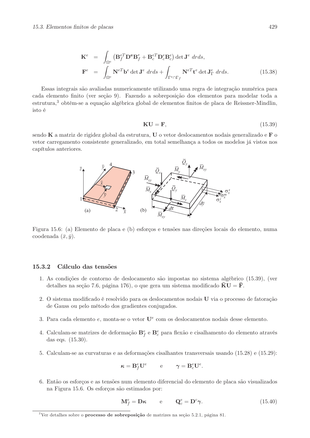$$
\mathbf{K}^{e} = \int_{\Omega^{e}} (\mathbf{B}_{f}^{eT} \mathbf{D}^{e} \mathbf{B}_{f}^{e} + \mathbf{B}_{c}^{eT} \mathbf{D}_{c}^{e} \mathbf{B}_{c}^{e}) \det \mathbf{J}^{e} dr ds,
$$
  
\n
$$
\mathbf{F}^{e} = \int_{\Omega^{e}} \mathbf{N}^{eT} \mathbf{b}^{e} \det \mathbf{J}^{e} dr ds + \int_{\Gamma^{e} \cap \Gamma_{f}} \mathbf{N}^{eT} \mathbf{t}^{e} \det \mathbf{J}_{\Gamma}^{e} dr ds.
$$
 (15.38)

Essas integrais são avaliadas numericamente utilizando uma regra de integração numérica para cada elemento finito (ver seção 9). Fazendo a sobreposição dos elementos para modelar toda a estrutura,<sup>3</sup> obtém-se a equação algébrica global de elementos finitos de placa de Reissner-Mindlin, isto é

$$
KU = F, \t(15.39)
$$

sendo  $K$  a matriz de rigidez global da estrutura,  $U$  o vetor deslocamentos nodais generalizado e  $F$  o vetor carregamento consistente generalizado, em total semelhança a todos os modelos já vistos nos capítulos anteriores.



Figura 15.6: (a) Elemento de placa e (b) esforços e tensões nas direções locais do elemento, numa coodenada  $(\bar{x}, \bar{y})$ .

#### 15.3.2 Cálculo das tensões

- 1. As condições de contorno de deslocamento são impostas no sistema algébrico (15.39), (ver detalhes na seção 7.6, página 176), o que gera um sistema modificado  $\mathbf{K} \mathbf{U} = \mathbf{F}$ .
- 2. O sistema modificado é resolvido para os deslocamentos nodais U via o processo de fatoração de Gauss ou pelo método dos gradientes conjugados.
- 3. Para cada elemento e, monta-se o vetor  $U^e$  com os deslocamentos nodais desse elemento.
- 4. Calculam-se matrizes de deformação  $\mathbf{B}_{f}^{e}$  e  $\mathbf{B}_{c}^{e}$  para flexão e cisalhamento do elemento através das eqs.  $(15.30)$ .
- 5. Calculam-se as curvaturas e as deformações cisalhantes transversais usando (15.29) e (15.29):

$$
\boldsymbol{\kappa} = \mathbf{B}^e_f \mathbf{U}^e \qquad \ \ \mathrm{e} \qquad \ \, \boldsymbol{\gamma} = \mathbf{B}^e_c \mathbf{U}^e.
$$

6. Então os esforços e as tensões num elemento diferencial do elemento de placa são visualizados na Figura 15.6. Os esforços são estimados por:

$$
\mathbf{M}_{f}^{e} = \mathbf{D}\boldsymbol{\kappa} \qquad e \qquad \mathbf{Q}_{c}^{e} = \mathbf{D}^{c}\boldsymbol{\gamma}.\tag{15.40}
$$

<sup>&</sup>lt;sup>3</sup>Ver detalhes sobre o **processo de sobreposição** de matrizes na seção 5.2.1, página 81.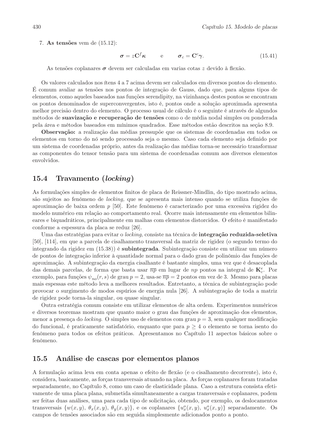7. As tensões vem de  $(15.12)$ :

$$
\sigma = zC^f \kappa \qquad e \qquad \sigma_c = C^c \gamma. \tag{15.41}
$$

As tensões coplanares  $\sigma$  devem ser calculadas em varias cotas z devido à flexão.

Os valores calculados nos ítens 4 a 7 acima devem ser calculados em diversos pontos do elemento. E comum avaliar as tensões nos pontos de integração de Gauss, dado que, para alguns tipos de elementos, como aqueles baseados nas funções serendipity, na vizinhança destes pontos se encontram os pontos denominados de superconvergentes, isto é, pontos onde a solução aproximada apresenta melhor precisão dentro do elemento. O processo usual de cálculo é o seguinte é através de algundos métodos de suavização e recuperação de tensões como o de média nodal simples ou ponderada pela área e métodos baseados em mínimos quadrados. Esse métodos estão descritos na seção 8.9.

**Observação:** a realização das médias pressupõe que os sistemas de coordenadas em todos os elementos em torno do nó sendo processado seja o mesmo. Caso cada elemento seja definido por um sistema de coordenadas próprio, antes da realização das médias torna-se necessário transformar as componentes do tensor tensão para um sistema de coordenadas comum aos diversos elementos envolvidos.

## Travamento (locking) 15.4

As formulações simples de elementos finitos de placa de Reissner-Mindlin, do tipo mostrado acima. são sujeitos ao fenômeno de *locking*, que se apresenta mais intenso quando se utiliza funções de aproximação de baixa ordem  $p$  [50]. Este fenômeno é caracterizado por uma excessiva rigidez do modelo numérico em relação ao comportamento real. Ocorre mais intensamente em elementos bilineares e biquadráticos, principalmente em malhas com elementos distorcidos. O efeito é manifestado conforme a espessura da placa se reduz [26].

Uma das estratégias para evitar o locking, consiste na técnica de **integração reduzida-seletiva** [50], [114], em que a parcela de cisalhamento transversal da matriz de rigidez (o segundo termo do integrando da rigidez em (15.38) é **subintegrada**. Subintegração consiste em utilizar um número de pontos de integração inferior à quantidade normal para o dado grau de polinômio das funções de aproximação. A subintegração da energia cisalhante é bastante simples, uma vez que é desacoplada das demais parcelas, de forma que basta usar  $\overline{np}$  em lugar de np pontos na integral de  $\mathbf{K}_c^e$ . Por exemplo, para funções  $\psi_{no}(r,s)$  de grau  $p=2$ , usa-se  $\overline{np}=2$  pontos em vez de 3. Mesmo para placas mais espessas este método leva a melhores resultados. Entretanto, a técnica de subintegração pode provocar o surgimento de modos espúrios de energia nula [26]. A subintegração de toda a matriz de rigidez pode torna-la singular, ou quase singular.

Outra estratégia comum consiste em utilizar elementos de alta ordem. Experimentos numéricos e diversos teoremas mostram que quanto maior o grau das funções de aproximação dos elementos, menor a presença do locking. O simples uso de elementos com grau  $p = 3$ , sem qualquer modificação do funcional, é praticamente satisfatório, enquanto que para  $p \geq 4$  o elemento se torna isento do fenômeno para todos os efeitos práticos. Apresentamos no Capítulo 11 aspectos básicos sobre o fenômeno.

#### 15.5 Análise de cascas por elementos planos

A formulação acima leva em conta apenas o efeito de flexão (e o cisalhamento decorrente), isto é, considera, basicamente, as forças transversais atuando na placa. As forças coplanares foram tratadas separadamente, no Capítulo 8, como um caso de elasticidade plana. Caso a estrutura consista efetivamente de uma placa plana, submetida simultaneamente a cargas transversais e coplanares, podem ser feitas duas análises, uma para cada tipo de solicitação, obtendo, por exemplo, os deslocamentos transversais  $\{w(x,y), \theta_x(x,y), \theta_y(x,y)\}\$ , e os coplanares  $\{u_x^o(x,y), u_x^o(x,y)\}\$ separadamente. Os campos de tensões associados são em seguida simplesmente adicionados ponto a ponto.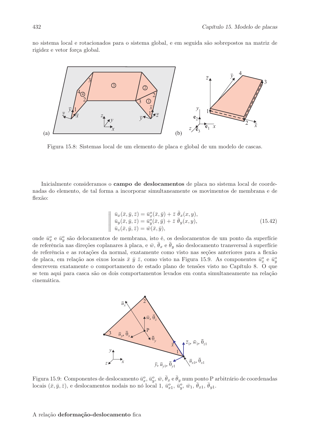no sistema local e rotacionados para o sistema global, e em seguida são sobrepostos na matriz de rigidez e vetor força global.



Figura 15.8: Sistemas local de um elemento de placa e global de um modelo de cascas.

Inicialmente consideramos o **campo de deslocamentos** de placa no sistema local de coordenadas do elemento, de tal forma a incorporar simultaneamente os movimentos de membrana e de flexão:

$$
\begin{aligned}\n\vec{u}_x(\bar{x}, \bar{y}, \bar{z}) &= \bar{u}_x^o(\bar{x}, \bar{y}) + \bar{z} \ \bar{\theta}_x(x, y), \\
\vec{u}_y(\bar{x}, \bar{y}, \bar{z}) &= \bar{u}_y^o(\bar{x}, \bar{y}) + \bar{z} \ \bar{\theta}_y(x, y), \\
\vec{u}_z(\bar{x}, \bar{y}, \bar{z}) &= \bar{w}(\bar{x}, \bar{y}),\n\end{aligned} \tag{15.42}
$$

onde  $\bar{u}_x^o$  e  $\bar{u}_y^o$  são delocamentos de membrana, isto é, os deslocamentos de um ponto da superfície de referência nas direções coplanares à placa, e  $\bar{w}$ ,  $\bar{\theta}_x$  e  $\bar{\theta}_y$  são deslocamento transversal à superfície de referência e as rotações da normal, exatamente como visto nas seções anteriores para a flexão de placa, em relação aos eixos locais  $\bar{x}$   $\bar{y}$   $\bar{z}$ , como visto na Figura 15.9. As componentes  $\bar{u}_x^o$  e  $\bar{u}_y^o$ descrevem exatamente o comportamento de estado plano de tensões visto no Capítulo 8. O que se tem aqui para casca são os dois comportamentos levados em conta simultaneamente na relação cinemática.



Figura 15.9: Componentes de deslocamento  $\bar{u}_x^o, \bar{u}_y^o, \bar{w}, \bar{\theta}_x \in \bar{\theta}_y$  num ponto P arbitrário de coordenadas locais  $(\bar{x}, \bar{y}, \bar{z})$ , e deslocamentos nodais no nó local 1,  $\bar{u}_{x1}^o$ ,  $\bar{u}_y^o$ ,  $\bar{w}_1$ ,  $\bar{\theta}_{x1}$ ,  $\bar{\theta}_{y1}$ .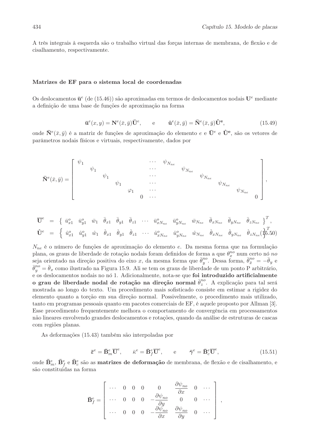A três integrais à esquerda são o trabalho virtual das forças internas de membrana, de flexão e de cisalhamento, respectivamente.

# Matrizes de EF para o sistema local de coordenadas

Os deslocamentos  $\bar{u}^e$  (de (15.46)) são aproximadas em termos de deslocamentos nodais  $U^e$  mediante a definição de uma base de funções de aproximação na forma

$$
\bar{\mathbf{u}}^e(x,y) = \mathbf{N}^e(\bar{x},\bar{y})\bar{\mathbf{U}}^e, \qquad e \qquad \hat{\mathbf{u}}^e(\bar{x},\bar{y}) = \bar{\mathbf{N}}^e(\bar{x},\bar{y})\hat{\mathbf{U}}^e, \tag{15.49}
$$

onde  $\bar{\mathbf{N}}^e(\bar{x},\bar{y})$  é a matriz de funções de aproximação do elemento e e  $\bar{\mathbf{U}}^e$  e  $\hat{\mathbf{U}}^e$ , são os vetores de parâmetros nodais físicos e virtuais, respectivamente, dados por

$$
\mathbf{\bar{N}}^{e}(\bar{x},\bar{y})=\left[ \begin{array}{ccccccccc} \psi_{1} & & & & & \cdots & \psi_{N_{ne}} & & & \\ & \psi_{1} & & & & \cdots & & \psi_{N_{ne}} & & \\ & & \psi_{1} & & & \cdots & & & \psi_{N_{ne}} & \\ & & & \psi_{1} & & & \cdots & & & \psi_{N_{ne}} & \\ & & & \varphi_{1} & & \cdots & & & & \psi_{N_{ne}} & \\ & & & & 0 & \cdots & & & & \psi_{N_{ne}} & \\ & & & & & 0 & \cdots & & & & \end{array} \right],
$$

$$
\overline{\mathbf{U}}^{e} = \begin{cases}\n\bar{u}_{x1}^{o} & \bar{w}_{y1}^{o} & \bar{w}_{11}^{o} & \bar{\theta}_{y1}^{o} & \bar{\theta}_{z1}^{o} & \cdots & \bar{w}_{xN_{ne}}^{o} & \bar{w}_{N_{ne}}^{o} & \bar{w}_{N_{ne}}^{o} & \bar{\theta}_{xN_{ne}}^{o} & \bar{\theta}_{yN_{ne}}^{o} & \bar{\theta}_{zN_{ne}}^{o}\end{cases}^T,
$$
\n
$$
\hat{\mathbf{U}}^{e} = \begin{cases}\n\hat{u}_{x1}^{o} & \hat{u}_{y1}^{o} & \hat{w}_{11}^{o} & \hat{\theta}_{x1}^{o} & \hat{\theta}_{z1}^{o} & \cdots & \hat{u}_{xN_{ne}}^{o} & \hat{u}_{yN_{ne}}^{o} & \hat{w}_{N_{ne}}^{o} & \hat{\theta}_{xN_{ne}}^{o} & \hat{\theta}_{yN_{ne}}^{o} & \hat{\theta}_{zN_{ne}}^{o} & \hat{\theta}_{zN_{ne}}^{o}\end{cases}^T,
$$

 $N_{ne}$  é o número de funções de aproximação do elemento e. Da mesma forma que na formulação plana, os graus de liberdade de rotação nodais foram definidos de forma a que  $\theta_x^{no}$  num certo nó no seja orientado na direção positiva do eixo x, da mesma forma que  $\bar{\theta}^{no}_y$ . Dessa forma,  $\bar{\theta}^{no}_{\bar{x}} = -\bar{\theta}_y$  e  $\bar{\theta}_{y}^{no} = \bar{\theta}_{x}$  como ilustrado na Figura 15.9. Ali se tem os graus de liberdade de um ponto P arbitrário. e os deslocamentos nodais no nó 1. Adicionalmente, nota-se que foi introduzido artificialmente o grau de liberdade nodal de rotação na direção normal  $\bar{\theta}_z^{no}$ . A explicação para tal será mostrada ao longo do texto. Um procedimento mais sofisticado consiste em estimar a rigidez do elemento quanto a torção em sua direção normal. Possivelmente, o procedimento mais utilizado, tanto em programas pessoais quanto em pacotes comerciais de EF, é aquele proposto por Allman [3]. Esse procedimento frequentemente melhora o comportamento de convergência em processamentos não lineares envolvendo grandes deslocamentos e rotações, quando da análise de estruturas de cascas com regiões planas.

As deformações (15.43) também são interpoladas por

$$
\bar{\epsilon}^e = \bar{\mathbf{B}}_m^e \overline{\mathbf{U}}^e, \qquad \bar{\kappa}^e = \bar{\mathbf{B}}_f^e \overline{\mathbf{U}}^e, \qquad e \qquad \bar{\boldsymbol{\gamma}}^e = \bar{\mathbf{B}}_c^e \overline{\mathbf{U}}^e,\tag{15.51}
$$

onde  $\bar{\mathbf{B}}_m^e$ ,  $\bar{\mathbf{B}}_f^e$  e  $\bar{\mathbf{B}}_c^e$  são as **matrizes de deformação** de membrana, de flexão e de cisalhamento, e são constituidas na forma

$$
\mathbf{\bar{B}}_f^e = \begin{vmatrix}\n\cdots & 0 & 0 & 0 & 0 & \frac{\partial \psi_{no}}{\partial x} & 0 & \cdots \\
\cdots & 0 & 0 & 0 & -\frac{\partial \psi_{no}}{\partial y} & 0 & 0 & \cdots \\
\cdots & 0 & 0 & 0 & -\frac{\partial \psi_{no}}{\partial x} & \frac{\partial \psi_{no}}{\partial y} & 0 & \cdots \\
\end{vmatrix},
$$